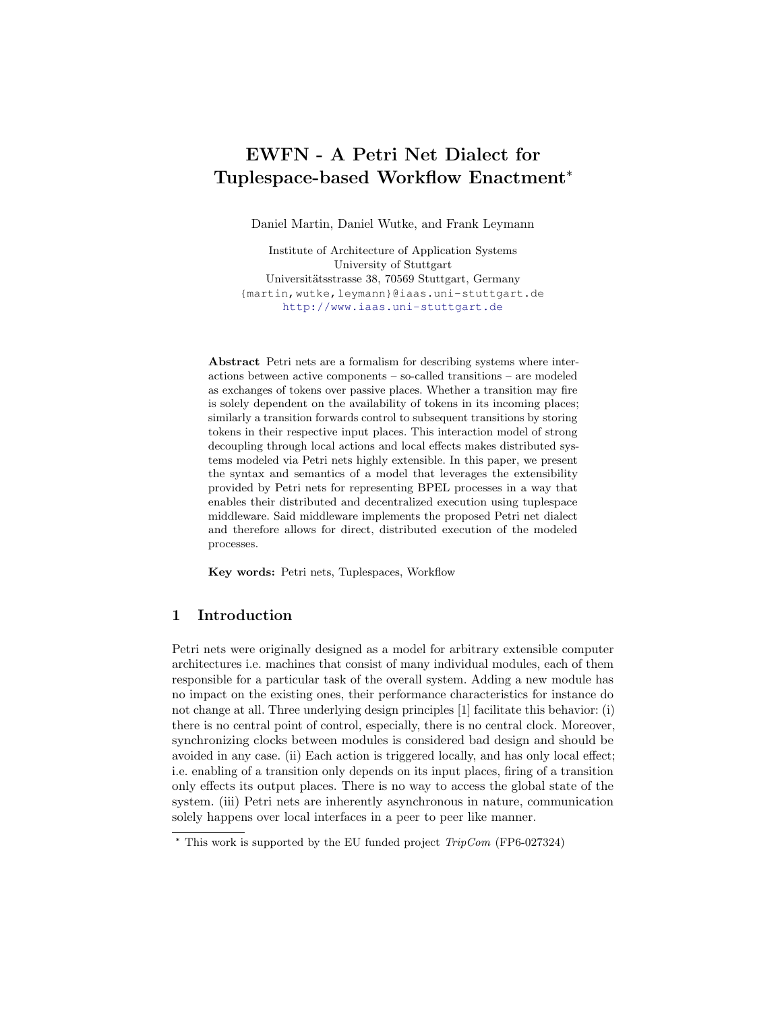# EWFN - A Petri Net Dialect for Tuplespace-based Workflow Enactment\*

Daniel Martin, Daniel Wutke, and Frank Leymann

Institute of Architecture of Application Systems University of Stuttgart Universitätsstrasse 38, 70569 Stuttgart, Germany {martin,wutke,leymann}@iaas.uni-stuttgart.de <http://www.iaas.uni-stuttgart.de>

Abstract Petri nets are a formalism for describing systems where interactions between active components – so-called transitions – are modeled as exchanges of tokens over passive places. Whether a transition may fire is solely dependent on the availability of tokens in its incoming places; similarly a transition forwards control to subsequent transitions by storing tokens in their respective input places. This interaction model of strong decoupling through local actions and local effects makes distributed systems modeled via Petri nets highly extensible. In this paper, we present the syntax and semantics of a model that leverages the extensibility provided by Petri nets for representing BPEL processes in a way that enables their distributed and decentralized execution using tuplespace middleware. Said middleware implements the proposed Petri net dialect and therefore allows for direct, distributed execution of the modeled processes.

Key words: Petri nets, Tuplespaces, Workflow

## 1 Introduction

Petri nets were originally designed as a model for arbitrary extensible computer architectures i.e. machines that consist of many individual modules, each of them responsible for a particular task of the overall system. Adding a new module has no impact on the existing ones, their performance characteristics for instance do not change at all. Three underlying design principles [\[1\]](#page-6-0) facilitate this behavior: (i) there is no central point of control, especially, there is no central clock. Moreover, synchronizing clocks between modules is considered bad design and should be avoided in any case. (ii) Each action is triggered locally, and has only local effect; i.e. enabling of a transition only depends on its input places, firing of a transition only effects its output places. There is no way to access the global state of the system. (iii) Petri nets are inherently asynchronous in nature, communication solely happens over local interfaces in a peer to peer like manner.

 $*$  This work is supported by the EU funded project  $TripCom$  (FP6-027324)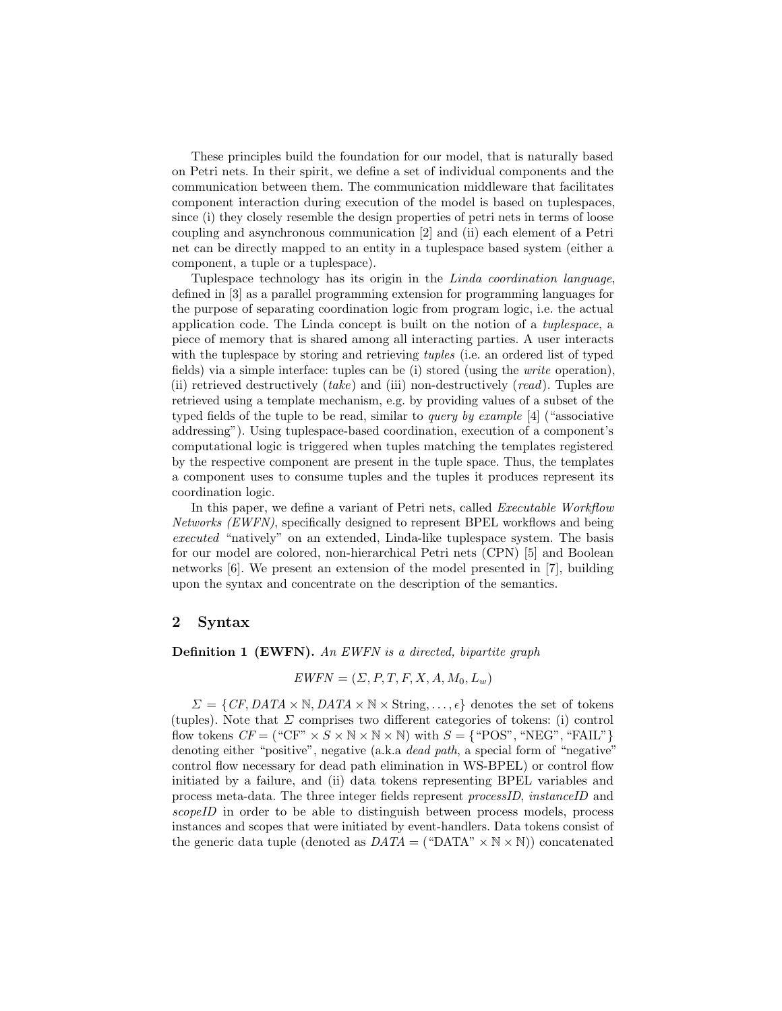These principles build the foundation for our model, that is naturally based on Petri nets. In their spirit, we define a set of individual components and the communication between them. The communication middleware that facilitates component interaction during execution of the model is based on tuplespaces, since (i) they closely resemble the design properties of petri nets in terms of loose coupling and asynchronous communication [\[2\]](#page-6-1) and (ii) each element of a Petri net can be directly mapped to an entity in a tuplespace based system (either a component, a tuple or a tuplespace).

Tuplespace technology has its origin in the Linda coordination language, defined in [\[3\]](#page-6-2) as a parallel programming extension for programming languages for the purpose of separating coordination logic from program logic, i.e. the actual application code. The Linda concept is built on the notion of a tuplespace, a piece of memory that is shared among all interacting parties. A user interacts with the tuplespace by storing and retrieving *tuples* (i.e. an ordered list of typed fields) via a simple interface: tuples can be (i) stored (using the write operation), (ii) retrieved destructively  $(take)$  and (iii) non-destructively  $(read)$ . Tuples are retrieved using a template mechanism, e.g. by providing values of a subset of the typed fields of the tuple to be read, similar to *query by example* [\[4\]](#page-6-3) ("associative addressing"). Using tuplespace-based coordination, execution of a component's computational logic is triggered when tuples matching the templates registered by the respective component are present in the tuple space. Thus, the templates a component uses to consume tuples and the tuples it produces represent its coordination logic.

In this paper, we define a variant of Petri nets, called *Executable Workflow* Networks (EWFN), specifically designed to represent BPEL workflows and being executed "natively" on an extended, Linda-like tuplespace system. The basis for our model are colored, non-hierarchical Petri nets (CPN) [\[5\]](#page-6-4) and Boolean networks [\[6\]](#page-6-5). We present an extension of the model presented in [\[7\]](#page-6-6), building upon the syntax and concentrate on the description of the semantics.

#### 2 Syntax

Definition 1 (EWFN). An EWFN is a directed, bipartite graph

$$
EWFN = (\Sigma, P, T, F, X, A, M_0, L_w)
$$

 $\Sigma = \{CF, DATA \times \mathbb{N}, DATA \times \mathbb{N} \times String, \ldots, \epsilon\}$  denotes the set of tokens (tuples). Note that  $\Sigma$  comprises two different categories of tokens: (i) control flow tokens  $CF = ("CF" \times S \times N \times N \times N)$  with  $S = \{ "POS", "NEG", "FAIL" \}$ denoting either "positive", negative (a.k.a *dead path*, a special form of "negative" control flow necessary for dead path elimination in WS-BPEL) or control flow initiated by a failure, and (ii) data tokens representing BPEL variables and process meta-data. The three integer fields represent processID, instanceID and scopeID in order to be able to distinguish between process models, process instances and scopes that were initiated by event-handlers. Data tokens consist of the generic data tuple (denoted as  $DATA = ("DATA" \times N \times N))$  concatenated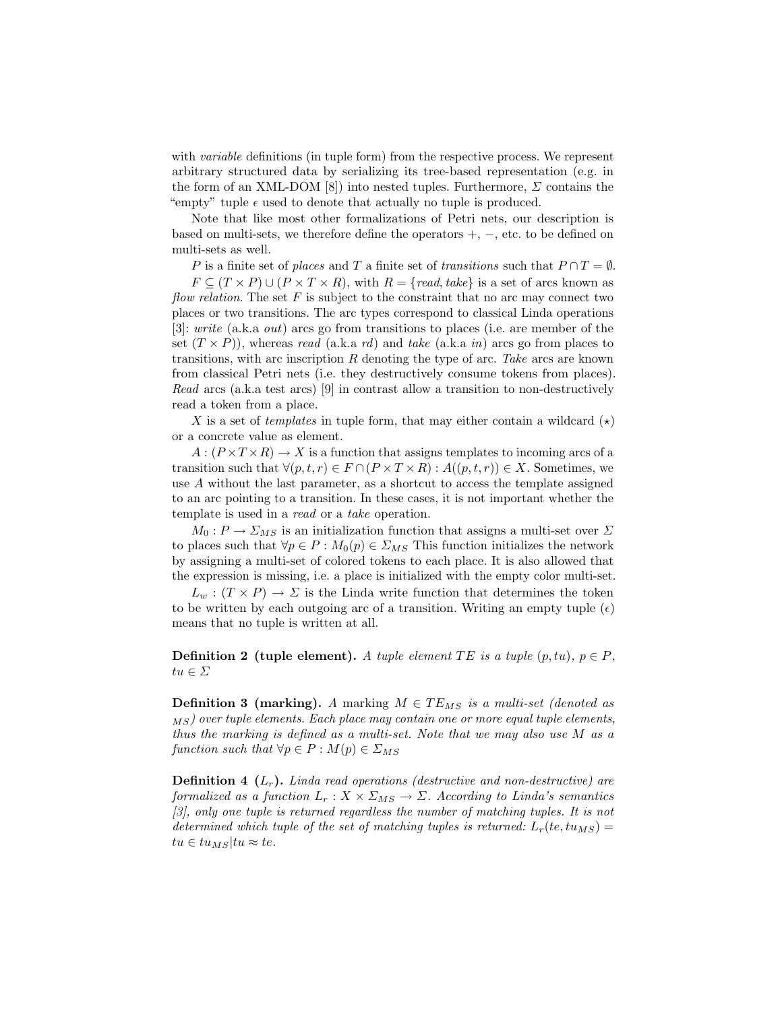with *variable* definitions (in tuple form) from the respective process. We represent arbitrary structured data by serializing its tree-based representation (e.g. in the form of an XML-DOM [\[8\]](#page-6-7)) into nested tuples. Furthermore,  $\Sigma$  contains the "empty" tuple  $\epsilon$  used to denote that actually no tuple is produced.

Note that like most other formalizations of Petri nets, our description is based on multi-sets, we therefore define the operators  $+$ ,  $-$ , etc. to be defined on multi-sets as well.

P is a finite set of places and T a finite set of transitions such that  $P \cap T = \emptyset$ .

 $F \subseteq (T \times P) \cup (P \times T \times R)$ , with  $R = \{read, take\}$  is a set of arcs known as flow relation. The set  $F$  is subject to the constraint that no arc may connect two places or two transitions. The arc types correspond to classical Linda operations [\[3\]](#page-6-2): write (a.k.a out) arcs go from transitions to places (i.e. are member of the set  $(T \times P)$ , whereas read (a.k.a rd) and take (a.k.a in) arcs go from places to transitions, with arc inscription  $R$  denoting the type of arc. Take arcs are known from classical Petri nets (i.e. they destructively consume tokens from places). Read arcs (a.k.a test arcs) [\[9\]](#page-6-8) in contrast allow a transition to non-destructively read a token from a place.

X is a set of *templates* in tuple form, that may either contain a wildcard  $(\star)$ or a concrete value as element.

 $A:(P\times T\times R)\to X$  is a function that assigns templates to incoming arcs of a transition such that  $\forall (p, t, r) \in F \cap (P \times T \times R) : A((p, t, r)) \in X$ . Sometimes, we use A without the last parameter, as a shortcut to access the template assigned to an arc pointing to a transition. In these cases, it is not important whether the template is used in a read or a take operation.

 $M_0: P \to \Sigma_{MS}$  is an initialization function that assigns a multi-set over  $\Sigma$ to places such that  $\forall p \in P : M_0(p) \in \Sigma_{MS}$  This function initializes the network by assigning a multi-set of colored tokens to each place. It is also allowed that the expression is missing, i.e. a place is initialized with the empty color multi-set.

 $L_w : (T \times P) \to \Sigma$  is the Linda write function that determines the token to be written by each outgoing arc of a transition. Writing an empty tuple  $(\epsilon)$ means that no tuple is written at all.

**Definition 2 (tuple element).** A tuple element TE is a tuple  $(p, tu)$ ,  $p \in P$ ,  $tu \in \varSigma$ 

**Definition 3 (marking).** A marking  $M \in TE_{MS}$  is a multi-set (denoted as  $\langle MS \rangle$  over tuple elements. Each place may contain one or more equal tuple elements, thus the marking is defined as a multi-set. Note that we may also use M as a function such that  $\forall p \in P : M(p) \in \Sigma_{MS}$ 

<span id="page-2-0"></span>**Definition 4**  $(L_r)$ . Linda read operations (destructive and non-destructive) are formalized as a function  $L_r : X \times \Sigma_{MS} \to \Sigma$ . According to Linda's semantics [\[3\]](#page-6-2), only one tuple is returned regardless the number of matching tuples. It is not determined which tuple of the set of matching tuples is returned:  $L_r(te, tu_{MS}) =$  $tu \in tu_{MS}|tu \approx te.$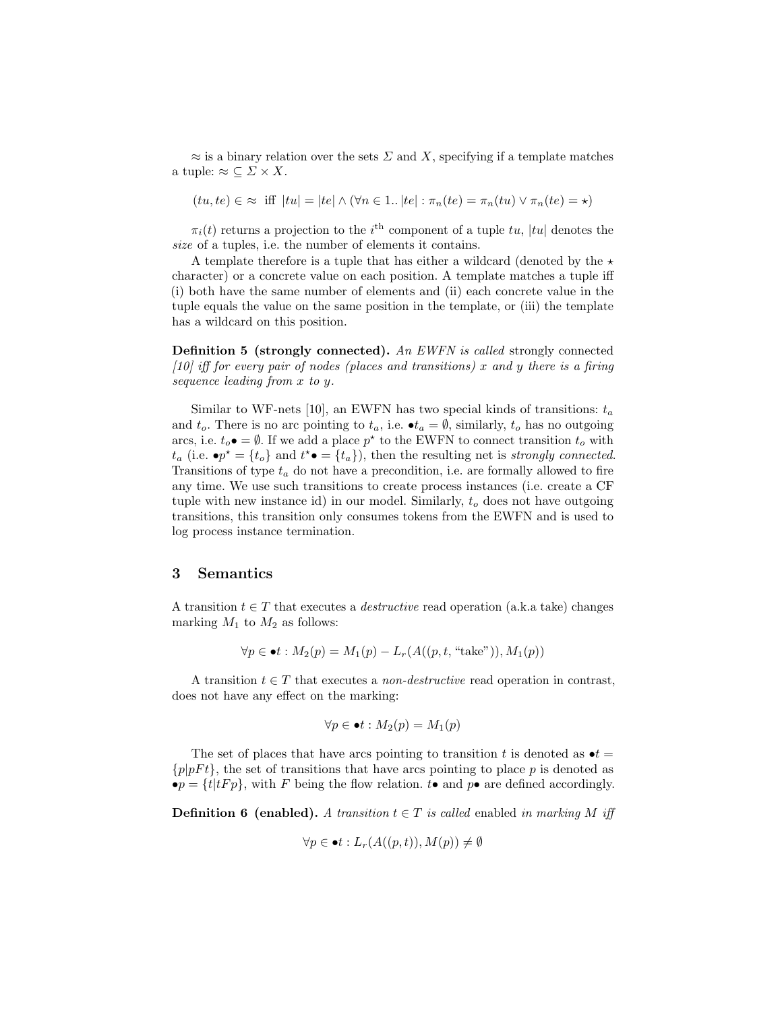$\approx$  is a binary relation over the sets  $\Sigma$  and X, specifying if a template matches a tuple:  $\approx \subseteq \Sigma \times X$ .

$$
(tu, te) \in \infty
$$
 iff  $|tu| = |te| \wedge (\forall n \in 1.. |te| : \pi_n(te) = \pi_n(tu) \vee \pi_n(te) = \star)$ 

 $\pi_i(t)$  returns a projection to the i<sup>th</sup> component of a tuple tu, |tu| denotes the size of a tuples, i.e. the number of elements it contains.

A template therefore is a tuple that has either a wildcard (denoted by the  $\star$ character) or a concrete value on each position. A template matches a tuple iff (i) both have the same number of elements and (ii) each concrete value in the tuple equals the value on the same position in the template, or (iii) the template has a wildcard on this position.

Definition 5 (strongly connected). An EWFN is called strongly connected  $[10]$  iff for every pair of nodes (places and transitions) x and y there is a firing sequence leading from x to y.

Similar to WF-nets [\[10\]](#page-6-9), an EWFN has two special kinds of transitions:  $t_a$ and  $t_o$ . There is no arc pointing to  $t_a$ , i.e.  $\bullet t_a = \emptyset$ , similarly,  $t_o$  has no outgoing arcs, i.e.  $t_o \bullet = \emptyset$ . If we add a place  $p^*$  to the EWFN to connect transition  $t_o$  with  $t_a$  (i.e.  $\bullet p^* = \{t_o\}$  and  $t^* \bullet = \{t_a\}$ ), then the resulting net is strongly connected. Transitions of type  $t_a$  do not have a precondition, i.e. are formally allowed to fire any time. We use such transitions to create process instances (i.e. create a CF tuple with new instance id) in our model. Similarly,  $t<sub>o</sub>$  does not have outgoing transitions, this transition only consumes tokens from the EWFN and is used to log process instance termination.

#### 3 Semantics

A transition  $t \in T$  that executes a *destructive* read operation (a.k.a take) changes marking  $M_1$  to  $M_2$  as follows:

$$
\forall p \in \bullet t : M_2(p) = M_1(p) - L_r(A((p, t, "take")), M_1(p))
$$

A transition  $t \in T$  that executes a *non-destructive* read operation in contrast, does not have any effect on the marking:

$$
\forall p \in \bullet t : M_2(p) = M_1(p)
$$

The set of places that have arcs pointing to transition t is denoted as  $\bullet t =$  $\{p|pFt\}$ , the set of transitions that have arcs pointing to place p is denoted as  $\bullet p = \{t | tF p\}$ , with F being the flow relation.  $t \bullet$  and  $p \bullet$  are defined accordingly.

**Definition 6 (enabled).** A transition  $t \in T$  is called enabled in marking M iff

$$
\forall p \in \bullet t : L_r(A((p,t)), M(p)) \neq \emptyset
$$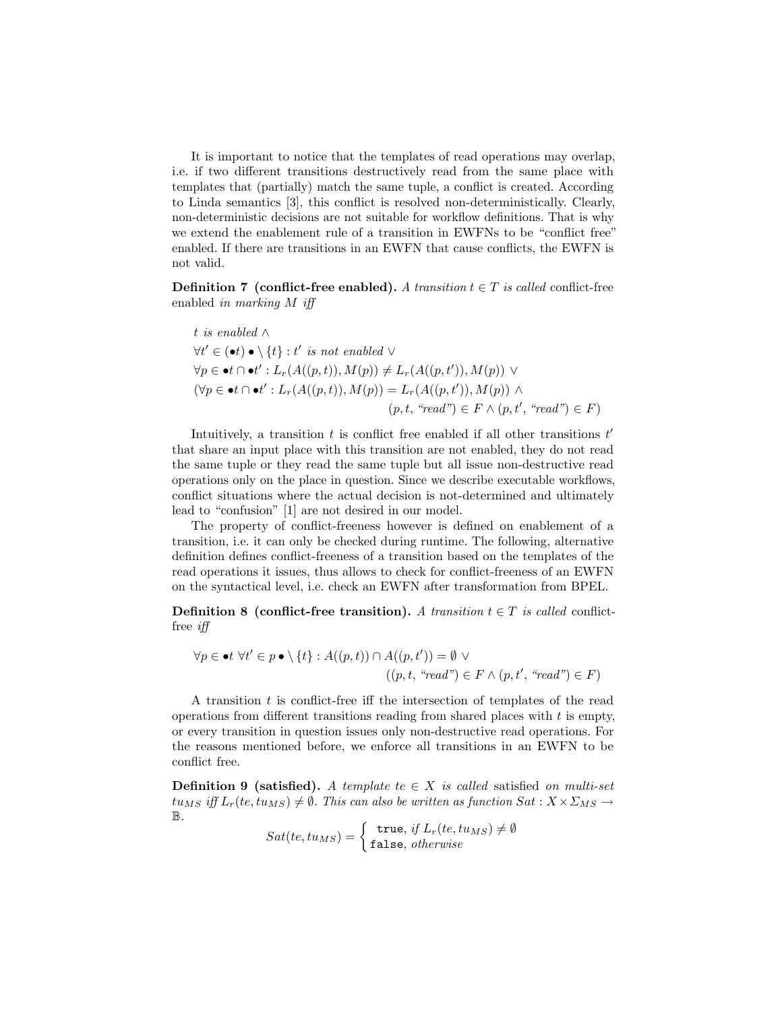It is important to notice that the templates of read operations may overlap, i.e. if two different transitions destructively read from the same place with templates that (partially) match the same tuple, a conflict is created. According to Linda semantics [\[3\]](#page-6-2), this conflict is resolved non-deterministically. Clearly, non-deterministic decisions are not suitable for workflow definitions. That is why we extend the enablement rule of a transition in EWFNs to be "conflict free" enabled. If there are transitions in an EWFN that cause conflicts, the EWFN is not valid.

**Definition 7** (conflict-free enabled). A transition  $t \in T$  is called conflict-free enabled in marking M iff

t is enabled 
$$
\wedge
$$
  
\n $\forall t' \in (\bullet t) \bullet \setminus \{t\} : t' \text{ is not enabled } \vee$   
\n $\forall p \in \bullet t \cap \bullet t' : L_r(A((p, t)), M(p)) \neq L_r(A((p, t')), M(p)) \vee$   
\n $(\forall p \in \bullet t \cap \bullet t' : L_r(A((p, t)), M(p)) = L_r(A((p, t')), M(p)) \wedge$   
\n $(p, t, "read") \in F \wedge (p, t', "read") \in F)$ 

Intuitively, a transition  $t$  is conflict free enabled if all other transitions  $t'$ that share an input place with this transition are not enabled, they do not read the same tuple or they read the same tuple but all issue non-destructive read operations only on the place in question. Since we describe executable workflows, conflict situations where the actual decision is not-determined and ultimately lead to "confusion" [\[1\]](#page-6-0) are not desired in our model.

The property of conflict-freeness however is defined on enablement of a transition, i.e. it can only be checked during runtime. The following, alternative definition defines conflict-freeness of a transition based on the templates of the read operations it issues, thus allows to check for conflict-freeness of an EWFN on the syntactical level, i.e. check an EWFN after transformation from BPEL.

**Definition 8** (conflict-free transition). A transition  $t \in T$  is called conflictfree iff

$$
\forall p \in \bullet t \ \forall t' \in p \bullet \setminus \{t\} : A((p, t)) \cap A((p, t')) = \emptyset \ \vee
$$

$$
((p, t, \ "read") \in F \land (p, t', \ "read") \in F)
$$

A transition t is conflict-free iff the intersection of templates of the read operations from different transitions reading from shared places with  $t$  is empty, or every transition in question issues only non-destructive read operations. For the reasons mentioned before, we enforce all transitions in an EWFN to be conflict free.

**Definition 9 (satisfied).** A template te  $\in$  X is called satisfied on multi-set  $t u_{MS}$  iff  $L_r(te, tu_{MS}) \neq \emptyset$ . This can also be written as function  $Sat: X \times \Sigma_{MS} \rightarrow$ B.

$$
Sat(te, tu_{MS}) = \begin{cases} \text{true, if } L_r(te, tu_{MS}) \neq \emptyset\\ \text{false, otherwise} \end{cases}
$$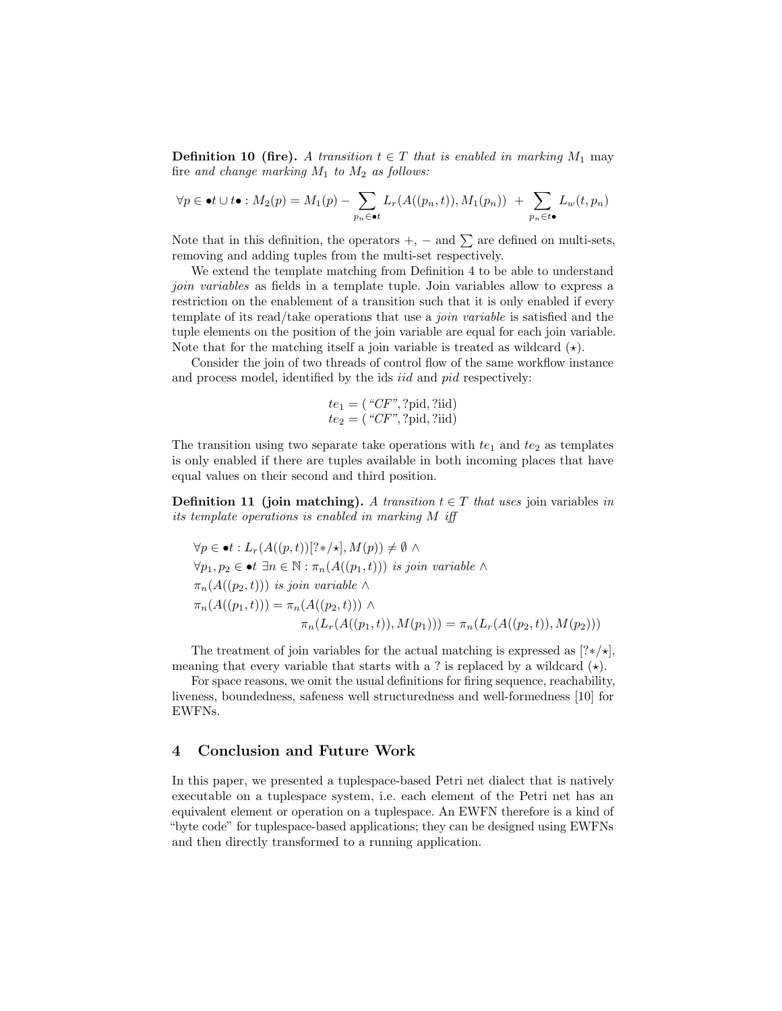**Definition 10 (fire).** A transition  $t \in T$  that is enabled in marking  $M_1$  may fire and change marking  $M_1$  to  $M_2$  as follows:

$$
\forall p \in \bullet t \cup t \bullet : M_2(p) = M_1(p) - \sum_{p_n \in \bullet t} L_r(A((p_n, t)), M_1(p_n)) + \sum_{p_n \in t \bullet} L_w(t, p_n))
$$

Note that in this definition, the operators  $+$ ,  $-$  and  $\sum$  are defined on multi-sets, removing and adding tuples from the multi-set respectively.

We extend the template matching from Definition [4](#page-2-0) to be able to understand join variables as fields in a template tuple. Join variables allow to express a restriction on the enablement of a transition such that it is only enabled if every template of its read/take operations that use a *join variable* is satisfied and the tuple elements on the position of the join variable are equal for each join variable. Note that for the matching itself a join variable is treated as wildcard  $(\star)$ .

Consider the join of two threads of control flow of the same workflow instance and process model, identified by the ids iid and pid respectively:

$$
te1 = ("CF", ?pid, ?iid)\n
$$
te2 = ("CF", ?pid, ?iid)
$$
$$

The transition using two separate take operations with  $te_1$  and  $te_2$  as templates is only enabled if there are tuples available in both incoming places that have equal values on their second and third position.

**Definition 11 (join matching).** A transition  $t \in T$  that uses join variables in its template operations is enabled in marking M iff

$$
\forall p \in \bullet t : L_r(A((p, t))[?*/\star], M(p)) \neq \emptyset \land
$$
  

$$
\forall p_1, p_2 \in \bullet t \exists n \in \mathbb{N} : \pi_n(A((p_1, t))) \text{ is join variable } \land
$$
  

$$
\pi_n(A((p_2, t))) \text{ is join variable } \land
$$
  

$$
\pi_n(A((p_1, t))) = \pi_n(A((p_2, t))) \land
$$
  

$$
\pi_n(L_r(A((p_1, t)), M(p_1))) = \pi_n(L_r(A((p_2, t)), M(p_2)))
$$

The treatment of join variables for the actual matching is expressed as  $[?*/\star]$ , meaning that every variable that starts with a ? is replaced by a wildcard  $(\star)$ .

For space reasons, we omit the usual definitions for firing sequence, reachability, liveness, boundedness, safeness well structuredness and well-formedness [\[10\]](#page-6-9) for EWFNs.

## 4 Conclusion and Future Work

In this paper, we presented a tuplespace-based Petri net dialect that is natively executable on a tuplespace system, i.e. each element of the Petri net has an equivalent element or operation on a tuplespace. An EWFN therefore is a kind of "byte code" for tuplespace-based applications; they can be designed using EWFNs and then directly transformed to a running application.